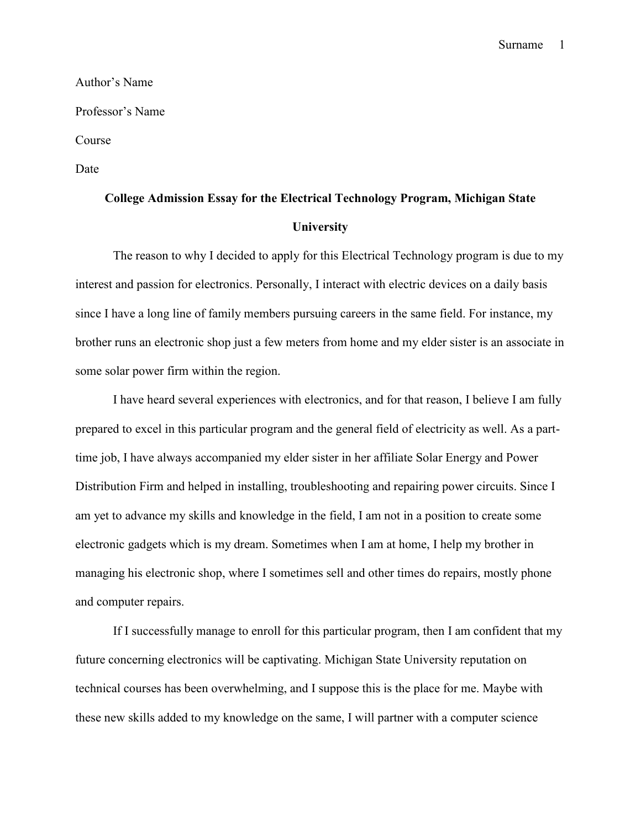Surname 1

Author's Name Professor's Name Course Date

## **College Admission Essay for the Electrical Technology Program, Michigan State University**

The reason to why I decided to apply for this Electrical Technology program is due to my interest and passion for electronics. Personally, I interact with electric devices on a daily basis since I have a long line of family members pursuing careers in the same field. For instance, my brother runs an electronic shop just a few meters from home and my elder sister is an associate in some solar power firm within the region.

I have heard several experiences with electronics, and for that reason, I believe I am fully prepared to excel in this particular program and the general field of electricity as well. As a parttime job, I have always accompanied my elder sister in her affiliate Solar Energy and Power Distribution Firm and helped in installing, troubleshooting and repairing power circuits. Since I am yet to advance my skills and knowledge in the field, I am not in a position to create some electronic gadgets which is my dream. Sometimes when I am at home, I help my brother in managing his electronic shop, where I sometimes sell and other times do repairs, mostly phone and computer repairs.

If I successfully manage to enroll for this particular program, then I am confident that my future concerning electronics will be captivating. Michigan State University reputation on technical courses has been overwhelming, and I suppose this is the place for me. Maybe with these new skills added to my knowledge on the same, I will partner with a computer science